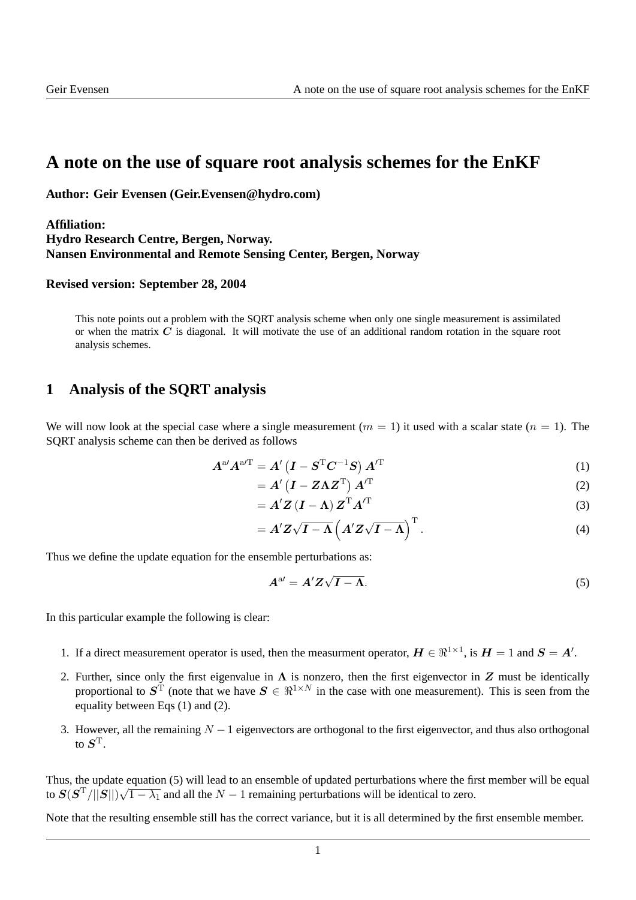## **A note on the use of square root analysis schemes for the EnKF**

**Author: Geir Evensen (Geir.Evensen@hydro.com)**

## **Affiliation: Hydro Research Centre, Bergen, Norway. Nansen Environmental and Remote Sensing Center, Bergen, Norway**

## **Revised version: September 28, 2004**

This note points out a problem with the SQRT analysis scheme when only one single measurement is assimilated or when the matrix  $C$  is diagonal. It will motivate the use of an additional random rotation in the square root analysis schemes.

## **1 Analysis of the SQRT analysis**

We will now look at the special case where a single measurement  $(m = 1)$  it used with a scalar state  $(n = 1)$ . The SQRT analysis scheme can then be derived as follows

$$
A^{a'}A^{aT} = A'\left(I - S^{T}C^{-1}S\right)A'^{T}
$$
\n<sup>(1)</sup>

$$
= A'\left(I - Z\Lambda Z^{T}\right)A'^{T}
$$
 (2)

$$
= A'Z(I - \Lambda) Z^{T} A'^{T}
$$
\n(3)

$$
= A'Z\sqrt{I-\Lambda} \left( A'Z\sqrt{I-\Lambda} \right)^{\mathrm{T}}.
$$
 (4)

Thus we define the update equation for the ensemble perturbations as:

$$
A^{\mathrm{a} \prime} = A' Z \sqrt{I - \Lambda}.\tag{5}
$$

In this particular example the following is clear:

- 1. If a direct measurement operator is used, then the measurment operator,  $H \in \mathbb{R}^{1 \times 1}$ , is  $H = 1$  and  $S = A'$ .
- 2. Further, since only the first eigenvalue in  $\Lambda$  is nonzero, then the first eigenvector in Z must be identically proportional to  $S^{\tilde{T}}$  (note that we have  $S \in \mathbb{R}^{1 \times N}$  in the case with one measurement). This is seen from the equality between Eqs (1) and (2).
- 3. However, all the remaining  $N 1$  eigenvectors are orthogonal to the first eigenvector, and thus also orthogonal to  $S^{\rm T}.$

Thus, the update equation (5) will lead to an ensemble of updated perturbations where the first member will be equal to  $\mathbf{S}(\mathbf{S}^T/||\mathbf{S}||)\sqrt{1-\lambda_1}$  and all the  $N-1$  remaining perturbations will be identical to zero.

Note that the resulting ensemble still has the correct variance, but it is all determined by the first ensemble member.